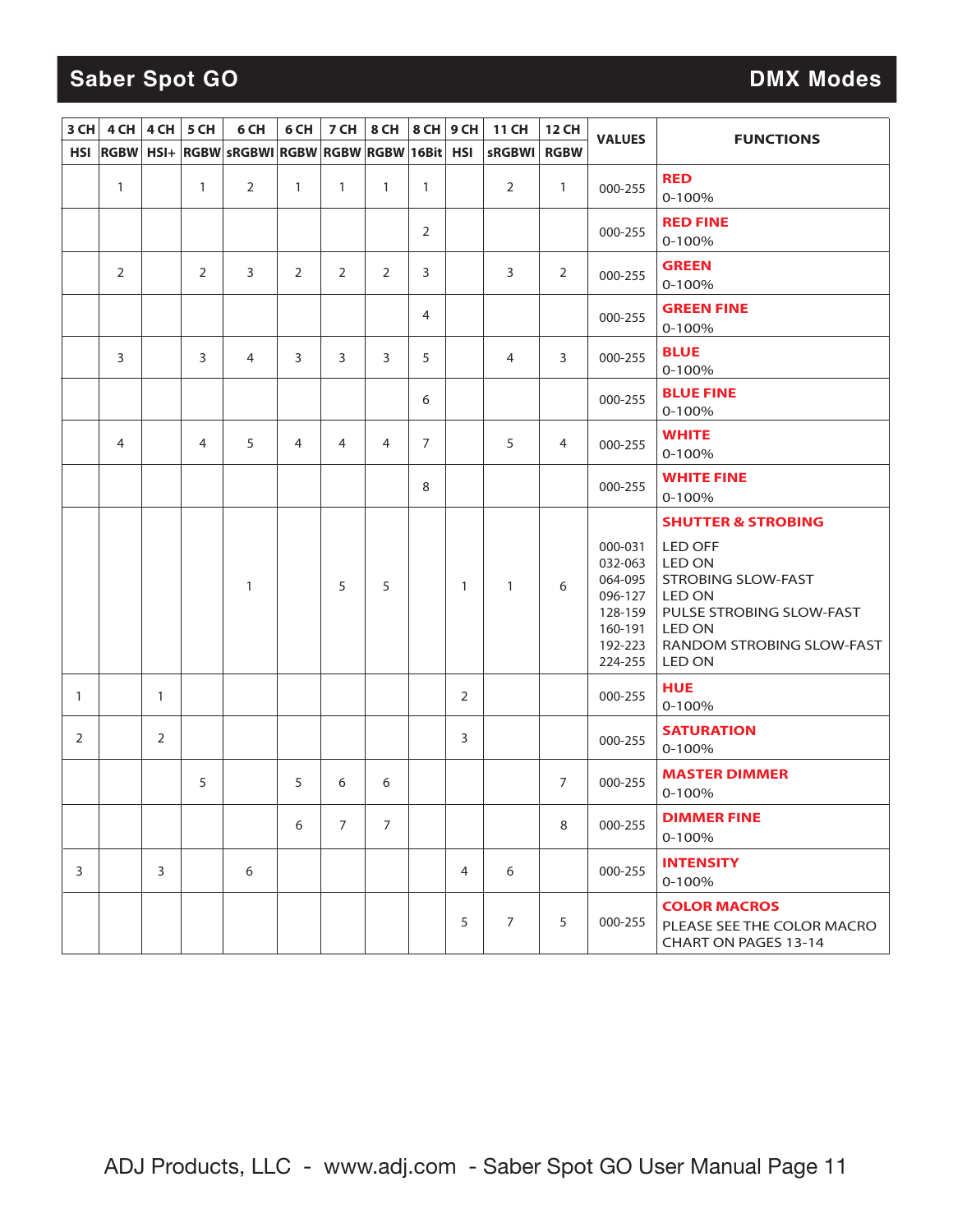## **Saber Spot GO DMX Modes**

| 3 CH       | 4 CH         |                | $4CH$ 5 CH   | 6 CH                                           | 6 CH         | 7 CH         | 8 CH           | 8 CH 9 CH      |              | <b>11 CH</b>   | <b>12 CH</b>   | <b>VALUES</b>                                                                        | <b>FUNCTIONS</b>                                                                                                                                           |
|------------|--------------|----------------|--------------|------------------------------------------------|--------------|--------------|----------------|----------------|--------------|----------------|----------------|--------------------------------------------------------------------------------------|------------------------------------------------------------------------------------------------------------------------------------------------------------|
| <b>HSI</b> |              |                |              | RGBW HSI+ RGBW SRGBWI RGBW RGBW RGBW 16Bit HSI |              |              |                |                |              | <b>sRGBWI</b>  | <b>RGBW</b>    |                                                                                      |                                                                                                                                                            |
|            | $\mathbf{1}$ |                | $\mathbf{1}$ | $\overline{2}$                                 | $\mathbf{1}$ | $\mathbf{1}$ | 1              | 1              |              | 2              | $\mathbf{1}$   | 000-255                                                                              | <b>RED</b><br>$0 - 100%$                                                                                                                                   |
|            |              |                |              |                                                |              |              |                | $\overline{2}$ |              |                |                | 000-255                                                                              | <b>RED FINE</b><br>$0 - 100%$                                                                                                                              |
|            | 2            |                | 2            | 3                                              | 2            | 2            | 2              | 3              |              | 3              | 2              | 000-255                                                                              | <b>GREEN</b><br>$0 - 100%$                                                                                                                                 |
|            |              |                |              |                                                |              |              |                | 4              |              |                |                | 000-255                                                                              | <b>GREEN FINE</b><br>0-100%                                                                                                                                |
|            | 3            |                | 3            | 4                                              | 3            | 3            | 3              | 5              |              | 4              | 3              | 000-255                                                                              | <b>BLUE</b><br>$0 - 100%$                                                                                                                                  |
|            |              |                |              |                                                |              |              |                | 6              |              |                |                | 000-255                                                                              | <b>BLUE FINE</b><br>$0 - 100%$                                                                                                                             |
|            | 4            |                | 4            | 5                                              | 4            | 4            | 4              | 7              |              | 5              | 4              | 000-255                                                                              | <b>WHITE</b><br>$0 - 100%$                                                                                                                                 |
|            |              |                |              |                                                |              |              |                | 8              |              |                |                | 000-255                                                                              | <b>WHITE FINE</b><br>$0 - 100%$                                                                                                                            |
|            |              |                |              |                                                |              |              |                |                |              |                |                |                                                                                      | <b>SHUTTER &amp; STROBING</b>                                                                                                                              |
|            |              |                |              | $\mathbf{1}$                                   |              | 5            | 5              |                | $\mathbf{1}$ | $\mathbf{1}$   | 6              | 000-031<br>032-063<br>064-095<br>096-127<br>128-159<br>160-191<br>192-223<br>224-255 | LED OFF<br>LED ON<br><b>STROBING SLOW-FAST</b><br><b>LED ON</b><br>PULSE STROBING SLOW-FAST<br><b>LED ON</b><br>RANDOM STROBING SLOW-FAST<br><b>LED ON</b> |
| 1          |              | $\mathbf{1}$   |              |                                                |              |              |                |                | 2            |                |                | 000-255                                                                              | <b>HUE</b><br>$0 - 100%$                                                                                                                                   |
| 2          |              | $\overline{2}$ |              |                                                |              |              |                |                | 3            |                |                | 000-255                                                                              | <b>SATURATION</b><br>$0 - 100%$                                                                                                                            |
|            |              |                | 5            |                                                | 5            | 6            | 6              |                |              |                | $\overline{7}$ | 000-255                                                                              | <b>MASTER DIMMER</b><br>$0 - 100%$                                                                                                                         |
|            |              |                |              |                                                | 6            | 7            | $\overline{7}$ |                |              |                | 8              | 000-255                                                                              | <b>DIMMER FINE</b><br>$0 - 100%$                                                                                                                           |
| 3          |              | 3              |              | 6                                              |              |              |                |                | 4            | 6              |                | 000-255                                                                              | <b>INTENSITY</b><br>$0 - 100%$                                                                                                                             |
|            |              |                |              |                                                |              |              |                |                | 5            | $\overline{7}$ | 5              | 000-255                                                                              | <b>COLOR MACROS</b><br>PLEASE SEE THE COLOR MACRO<br>CHART ON PAGES 13-14                                                                                  |